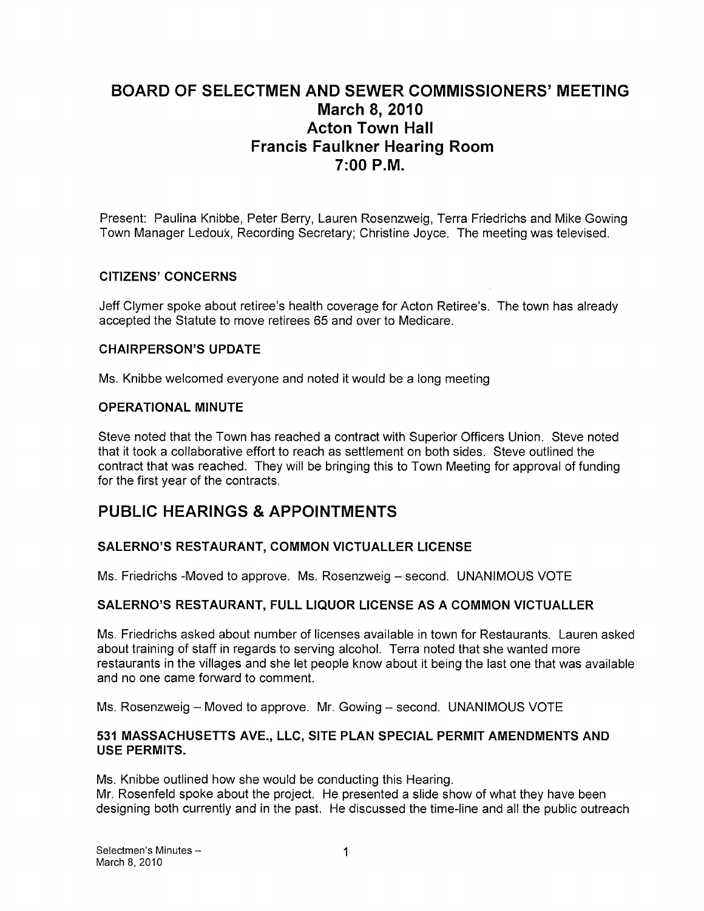# BOARD OF SELECTMEN AND SEWER COMMISSIONERS' MEETING March 8, 2010 Acton Town Hall Francis Faulkner Hearing Room 7:00 P.M.

Present: Paulina Knibbe, Peter Berry, Lauren Rosenzweig, Terra Friedrichs and Mike Cowing Town Manager Ledoux, Recording Secretary; Christine Joyce. The meeting was televised.

### CITIZENS' CONCERNS

Jeff Clymer spoke about retiree's health coverage for Acton Retiree's. The town has already accepted the Statute to move retirees 65 and over to Medicare.

#### CHAIRPERSON'S UPDATE

Ms. Knibbe welcomed everyone and noted it would be a long meeting

#### OPERATIONAL MINUTE

Steve noted that the Town has reached a contract with Superior Officers Union. Steve noted that it took a collaborative effort to reach as settlement on both sides. Steve outlined the contract that was reached. They will be bringing this to Town Meeting for approval of funding for the first year of the contracts.

# PUBLIC HEARINGS & APPOINTMENTS

### SALERNO'S RESTAURANT, COMMON VICTUALLER LICENSE

Ms. Friedrichs -Moved to approve. Ms. Rosenzweig — second. UNANIMOUS VOTE

### SALERNO'S RESTAURANT, FULL LIQUOR LICENSE AS A COMMON VICTUALLER

Ms. Friedrichs asked about number of licenses available in town for Restaurants. Lauren asked about training of staff in regards to serving alcohol. Terra noted that she wanted more restaurants in the villages and she let people know about it being the last one that was available and no one came forward to comment.

Ms. Rosenzweig — Moved to approve. Mr. Gowing — second. UNANIMOUS VOTE

#### 531 MASSACHUSETTS AVE., LLC, SITE PLAN SPECIAL PERMIT AMENDMENTS AND USE PERMITS.

Ms. Knibbe outlined how she would be conducting this Hearing.

Mr. Rosenfeld spoke about the project. He presented a slide show of what they have been designing both currently and in the past. He discussed the time-line and all the public outreach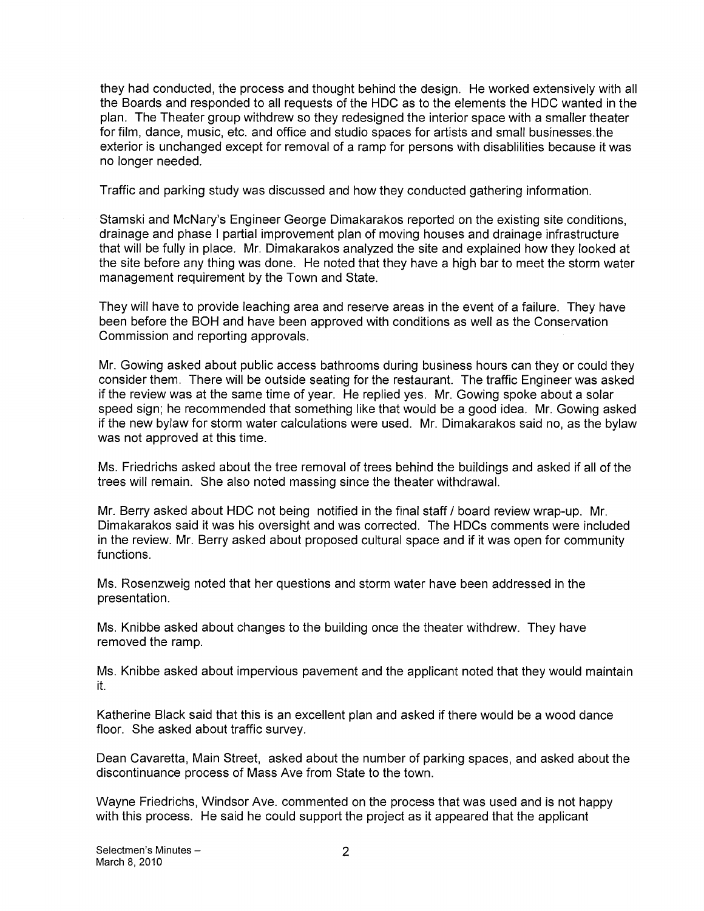they had conducted, the process and thought behind the design. He worked extensively with all the Boards and responded to all requests of the HDC as to the elements the HDC wanted in the plan. The Theater group withdrew so they redesigned the interior space with a smaller theater for film, dance, music, etc. and office and studio spaces for artists and small businesses.the exterior is unchanged except for removal of a ramp for persons with disablilities because it was no longer needed.

Traffic and parking study was discussed and how they conducted gathering information.

Stamski and McNary's Engineer George Dimakarakos reported on the existing site conditions, drainage and phase <sup>I</sup> partial improvement plan of moving houses and drainage infrastructure that will be fully in place. Mr. Dimakarakos analyzed the site and explained how they looked at the site before any thing was done. He noted that they have a high bar to meet the storm water management requirement by the Town and State.

They will have to provide leaching area and reserve areas in the event of a failure. They have been before the BOH and have been approved with conditions as well as the Conservation Commission and reporting approvals.

Mr. Gowing asked about public access bathrooms during business hours can they or could they consider them. There will be outside seating for the restaurant. The traffic Engineer was asked if the review was at the same time of year. He replied yes. Mr. Gowing spoke about a solar speed sign; he recommended that something like that would be a good idea. Mr. Gowing asked if the new bylaw for storm water calculations were used. Mr. Dimakarakos said no, as the bylaw was not approved at this time.

Ms. Friedrichs asked about the tree removal of trees behind the buildings and asked if all of the trees will remain. She also noted massing since the theater withdrawal.

Mr. Berry asked about HDC not being notified in the final staff / board review wrap-up. Mr. Dimakarakos said it was his oversight and was corrected. The HDCs comments were included in the review. Mr. Berry asked about proposed cultural space and if it was open for community functions.

Ms. Rosenzweig noted that her questions and storm water have been addressed in the presentation.

Ms. Knibbe asked about changes to the building once the theater withdrew. They have removed the ramp.

Ms. Knibbe asked about impervious pavement and the applicant noted that they would maintain it.

Katherine Black said that this is an excellent plan and asked if there would be a wood dance floor. She asked about traffic survey.

Dean Cavaretta, Main Street, asked about the number of parking spaces, and asked about the discontinuance process of Mass Ave from State to the town.

Wayne Friedrichs, Windsor Ave. commented on the process that was used and is not happy with this process. He said he could support the project as it appeared that the applicant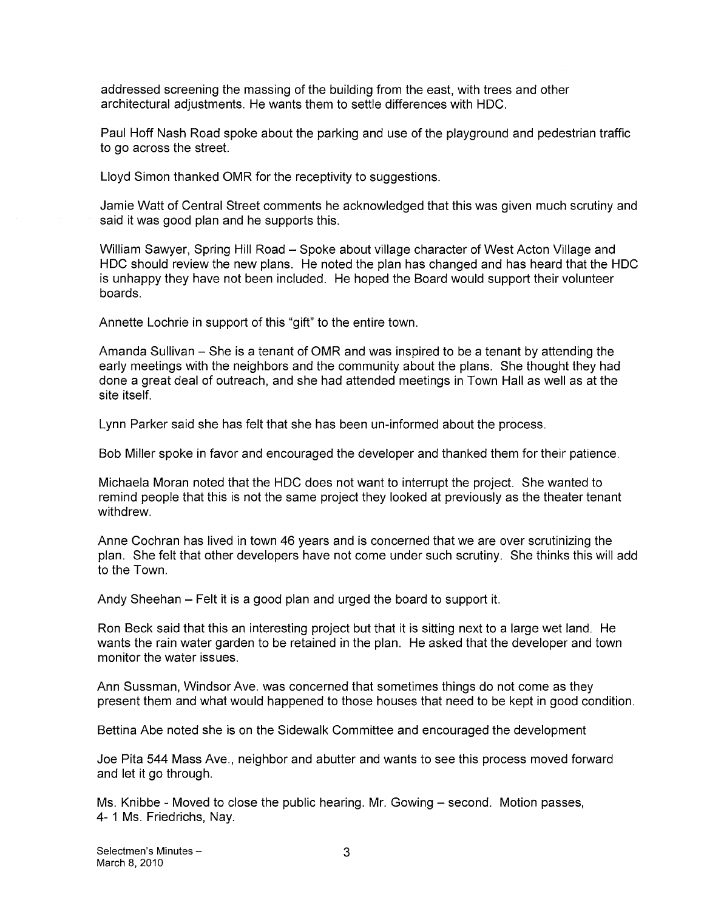addressed screening the massing of the building from the east, with trees and other architectural adjustments. He wants them to settle differences with HDC.

Paul Hoff Nash Road spoke about the parking and use of the playground and pedestrian traffic to go across the street.

Lloyd Simon thanked OMR for the receptivity to suggestions.

Jamie Watt of Central Street comments he acknowledged that this was given much scrutiny and said it was good plan and he supports this.

William Sawyer, Spring Hill Road — Spoke about village character of West Acton Village and HDC should review the new plans. He noted the plan has changed and has heard that the HDC is unhappy they have not been included. He hoped the Board would support their volunteer boards.

Annette Lochrie in support of this "gift" to the entire town.

Amanda Sullivan — She is a tenant of OMR and was inspired to be a tenant by attending the early meetings with the neighbors and the community about the plans. She thought they had done a great deal of outreach, and she had attended meetings in Town Hall as well as at the site itself.

Lynn Parker said she has felt that she has been un-informed about the process.

Bob Miller spoke in favor and encouraged the developer and thanked them for their patience.

Michaela Moran noted that the HDC does not want to interrupt the project. She wanted to remind people that this is not the same project they looked at previously as the theater tenant withdrew.

Anne Cochran has lived in town 46 years and is concerned that we are over scrutinizing the plan. She felt that other developers have not come under such scrutiny. She thinks this will add to the Town.

Andy Sheehan — Felt it is a good plan and urged the board to support it.

Ron Beck said that this an interesting project but that it is sitting next to a large wet land. He wants the rain water garden to be retained in the plan. He asked that the developer and town monitor the water issues.

Ann Sussman, Windsor Ave. was concerned that sometimes things do not come as they present them and what would happened to those houses that need to be kept in good condition.

Bettina Abe noted she is on the Sidewalk Committee and encouraged the development

Joe Pita 544 Mass Ave., neighbor and abutter and wants to see this process moved forward and let it go through.

Ms. Knibbe - Moved to close the public hearing. Mr. Gowing — second. Motion passes, 4- <sup>1</sup> Ms. Friedrichs, Nay.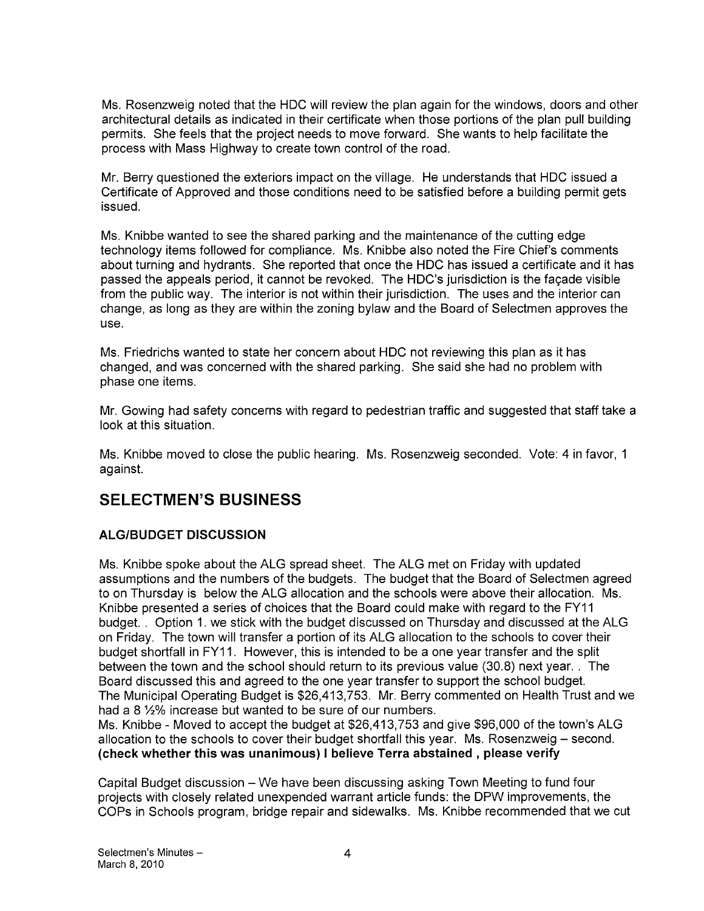Ms. Rosenzweig noted that the HDC will review the plan again for the windows, doors and other architectural details as indicated in their certificate when those portions of the plan pull building permits. She feels that the project needs to move forward. She wants to help facilitate the process with Mass Highway to create town control of the road.

Mr. Berry questioned the exteriors impact on the village. He understands that HDC issued a Certificate of Approved and those conditions need to be satisfied before a building permit gets issued.

Ms. Knibbe wanted to see the shared parking and the maintenance of the cutting edge technology items followed for compliance. Ms. Knibbe also noted the Fire Chief's comments about turning and hydrants. She reported that once the HDC has issued a certificate and it has passed the appeals period, it cannot be revoked. The HDC's jurisdiction is the façade visible from the public way. The interior is not within their jurisdiction. The uses and the interior can change, as long as they are within the zoning bylaw and the Board of Selectmen approves the use.

Ms. Friedrichs wanted to state her concern about HDC not reviewing this plan as it has changed, and was concerned with the shared parking. She said she had no problem with phase one items.

Mr. Gowing had safety concerns with regard to pedestrian traffic and suggested that staff take a look at this situation.

Ms. Knibbe moved to close the public hearing. Ms. Rosenzweig seconded. Vote: 4 in favor, <sup>1</sup> against.

# SELECTMEN'S BUSINESS

## ALG/BUDGET DISCUSSION

Ms. Knibbe spoke about the ALG spread sheet. The ALG met on Friday with updated assumptions and the numbers of the budgets. The budget that the Board of Selectmen agreed to on Thursday is below the ALG allocation and the schools were above their allocation. Ms. Knibbe presented a series of choices that the Board could make with regard to the FY11 budget. . Option 1. we stick with the budget discussed on Thursday and discussed at the ALG on Friday. The town will transfer a portion of its ALG allocation to the schools to cover their budget shortfall in FY11. However, this is intended to be a one year transfer and the split between the town and the school should return to its previous value (30.8) next year. . The Board discussed this and agreed to the one year transfer to support the school budget. The Municipal Operating Budget is \$26,413,753. Mr. Berry commented on Health Trust and we had a 8 %% increase but wanted to be sure of our numbers.

Ms. Knibbe - Moved to accept the budget at \$26,413,753 and give \$96,000 of the town's ALG allocation to the schools to cover their budget shortfall this year. Ms. Rosenzweig — second. (check whether this was unanimous) <sup>I</sup> believe Terra abstained, please verify

Capital Budget discussion — We have been discussing asking Town Meeting to fund four projects with closely related unexpended warrant article funds: the DPW improvements, the COPs in Schools program, bridge repair and sidewalks. Ms. Knibbe recommended that we cut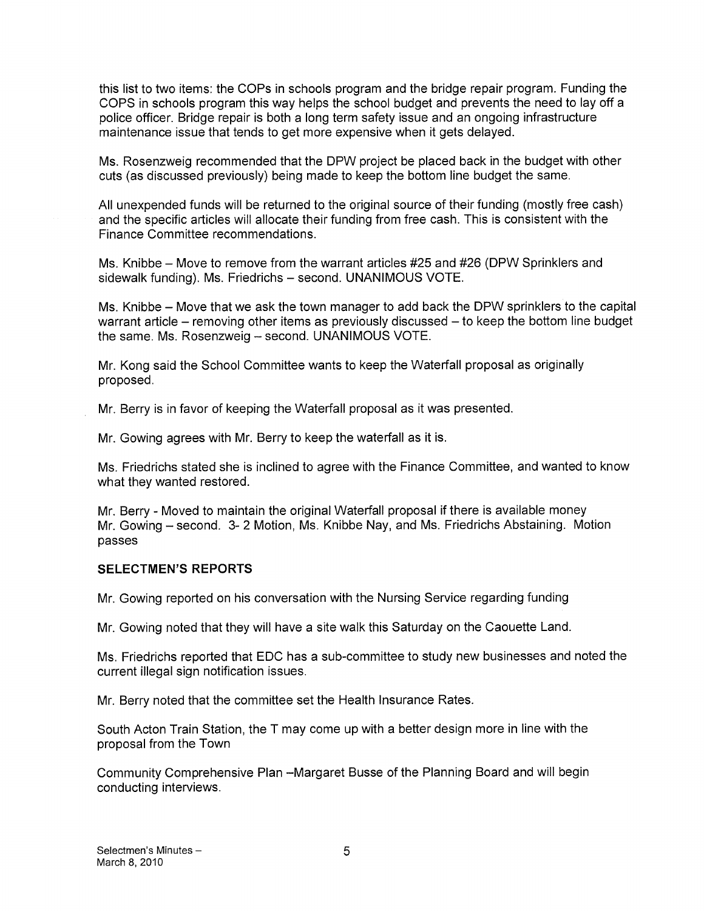this list to two items: the COPs in schools program and the bridge repair program. Funding the COPS in schools program this way helps the school budget and prevents the need to lay off a police officer. Bridge repair is both a long term safety issue and an ongoing infrastructure maintenance issue that tends to get more expensive when it gets delayed.

Ms. Rosenzweig recommended that the DPW project be placed back in the budget with other cuts (as discussed previously) being made to keep the bottom line budget the same.

All unexpended funds will be returned to the original source of their funding (mostly free cash) and the specific articles will allocate their funding from free cash. This is consistent with the Finance Committee recommendations.

Ms. Knibbe — Move to remove from the warrant articles #25 and #26 (DPW Sprinklers and sidewalk funding). Ms. Friedrichs — second. UNANIMOUS VOTE.

Ms. Knibbe — Move that we ask the town manager to add back the DPW sprinklers to the capital warrant article — removing other items as previously discussed — to keep the bottom line budget the same. Ms. Rosenzweig — second. UNANIMOUS VOTE.

Mr. Kong said the School Committee wants to keep the Waterfall proposal as originally proposed.

Mr. Berry is in favor of keeping the Waterfall proposal as it was presented.

Mr. Gowing agrees with Mr. Berry to keep the waterfall as it is.

Ms. Friedrichs stated she is inclined to agree with the Finance Committee, and wanted to know what they wanted restored.

Mr. Berry - Moved to maintain the original Waterfall proposal if there is available money Mr. Gowing — second. 3- 2 Motion, Ms. Knibbe Nay, and Ms. Friedrichs Abstaining. Motion passes

#### SELECTMEN'S REPORTS

Mr. Gowing reported on his conversation with the Nursing Service regarding funding

Mr. Gowing noted that they will have a site walk this Saturday on the Caouette Land.

Ms. Friedrichs reported that EDC has a sub-committee to study new businesses and noted the current illegal sign notification issues.

Mr. Berry noted that the committee set the Health Insurance Rates.

South Acton Train Station, the T may come up with a better design more in line with the proposal from the Town

Community Comprehensive Plan —Margaret Busse of the Planning Board and will begin conducting interviews.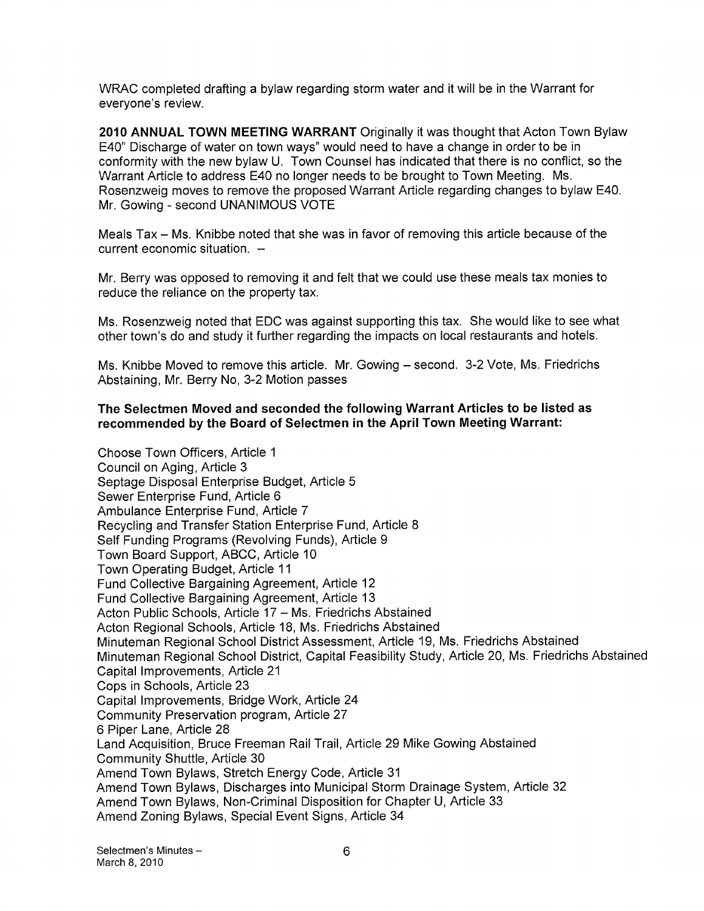WRAC completed drafting a bylaw regarding storm water and it will be in the Warrant for everyone's review.

2010 ANNUAL TOWN MEETING WARRANT Originally it was thought that Acton Town Bylaw E40" Discharge of water on town ways" would need to have a change in order to be in conformity with the new bylaw U. Town Counsel has indicated that there is no conflict, so the Warrant Article to address E40 no longer needs to be brought to Town Meeting. Ms. Rosenzweig moves to remove the proposed Warrant Article regarding changes to bylaw E40. Mr. Gowing - second UNANIMOUS VOTE

Meals Tax — Ms. Knibbe noted that she was in favor of removing this article because of the current economic situation. —

Mr. Berry was opposed to removing it and felt that we could use these meals tax monies to reduce the reliance on the property tax.

Ms. Rosenzweig noted that EDC was against supporting this tax. She would like to see what other town's do and study it further regarding the impacts on local restaurants and hotels.

Ms. Knibbe Moved to remove this article. Mr. Gowing — second. 3-2 Vote, Ms. Friedrichs Abstaining, Mr. Berry No, 3-2 Motion passes

#### The Selectmen Moved and seconded the following Warrant Articles to be listed as recommended by the Board of Selectmen in the April Town Meeting Warrant:

Choose Town Officers, Article <sup>1</sup> Council on Aging, Article 3 Septage Disposal Enterprise Budget, Article 5 Sewer Enterprise Fund, Article 6 Ambulance Enterprise Fund, Article 7 Recycling and Transfer Station Enterprise Fund, Article 8 Self Funding Programs (Revolving Funds), Article 9 Town Board Support, ABCC, Article 10 Town Operating Budget, Article 11 Fund Collective Bargaining Agreement, Article 12 Fund Collective Bargaining Agreement, Article 13 Acton Public Schools, Article 17 — Ms. Friedrichs Abstained Acton Regional Schools, Article 18, Ms. Friedrichs Abstained Minuteman Regional School District Assessment, Article 19, Ms. Friedrichs Abstained Minuteman Regional School District, Capital Feasibility Study, Article 20, Ms. Friedrichs Abstained Capital Improvements, Article 21 Cops in Schools, Article 23 Capital Improvements, Bridge Work, Article 24 Community Preservation program, Article 27 6 Piper Lane, Article 28 Land Acquisition, Bruce Freeman Rail Trail, Article 29 Mike Gowing Abstained Community Shuttle, Article 30 Amend Town Bylaws, Stretch Energy Code, Article 31 Amend Town Bylaws, Discharges into Municipal Storm Drainage System, Article 32 Amend Town Bylaws, Non-Criminal Disposition for Chapter U, Article 33 Amend Zoning Bylaws, Special Event Signs, Article 34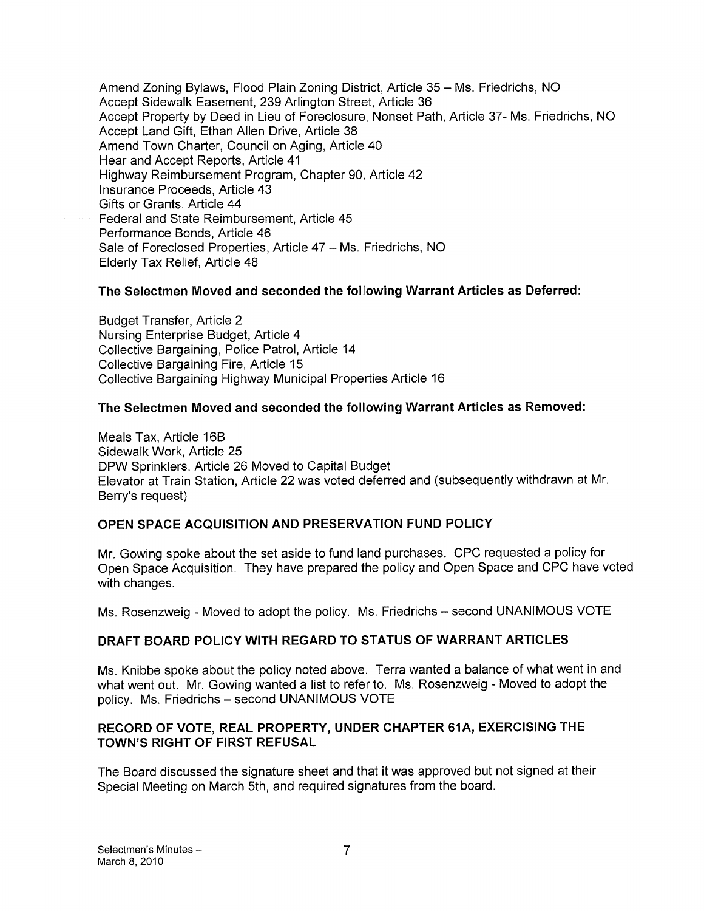Amend Zoning Bylaws, Flood Plain Zoning District, Article 35 — Ms. Friedrichs, NO Accept Sidewalk Easement, 239 Arlington Street, Article 36 Accept Property by Deed in Lieu of Foreclosure, Nonset Path, Article 37- Ms. Friedrichs, NO Accept Land Gift, Ethan Allen Drive, Article 38 Amend Town Charter, Council on Aging, Article 40 Hear and Accept Reports, Article 41 Highway Reimbursement Program, Chapter 90, Article 42 Insurance Proceeds, Article 43 Gifts or Grants, Article 44 Federal and State Reimbursement, Article 45 Performance Bonds, Article 46 Sale of Foreclosed Properties, Article 47 — Ms. Friedrichs, NO Elderly Tax Relief, Article 48

### The Selectmen Moved and seconded the following Warrant Articles as Deferred:

Budget Transfer, Article 2 Nursing Enterprise Budget, Article 4 Collective Bargaining, Police Patrol, Article 14 Collective Bargaining Fire, Article 15 Collective Bargaining Highway Municipal Properties Article 16

#### The Selectmen Moved and seconded the following Warrant Articles as Removed:

Meals Tax, Article 16B Sidewalk Work, Article 25 DPW Sprinklers, Article 26 Moved to Capital Budget Elevator at Train Station, Article 22 was voted deferred and (subsequently withdrawn at Mr. Berry's request)

### OPEN SPACE ACQUISITION AND PRESERVATION FUND POLICY

Mr. Gowing spoke about the set aside to fund land purchases. CPC requested a policy for Open Space Acquisition. They have prepared the policy and Open Space and CPC have voted with changes.

Ms. Rosenzweig - Moved to adopt the policy. Ms. Friedrichs — second UNANIMOUS VOTE

### DRAFT BOARD POLICY WITH REGARD TO STATUS OF WARRANT ARTICLES

Ms. Knibbe spoke about the policy noted above. Terra wanted a balance of what went in and what went out. Mr. Gowing wanted a list to refer to. Ms. Rosenzweig - Moved to adopt the policy. Ms. Friedrichs — second UNANIMOUS VOTE

#### RECORD OF VOTE, REAL PROPERTY, UNDER CHAPTER 61A, EXERCISING THE TOWN'S RIGHT OF FIRST REFUSAL

The Board discussed the signature sheet and that it was approved but not signed at their Special Meeting on March 5th, and required signatures from the board.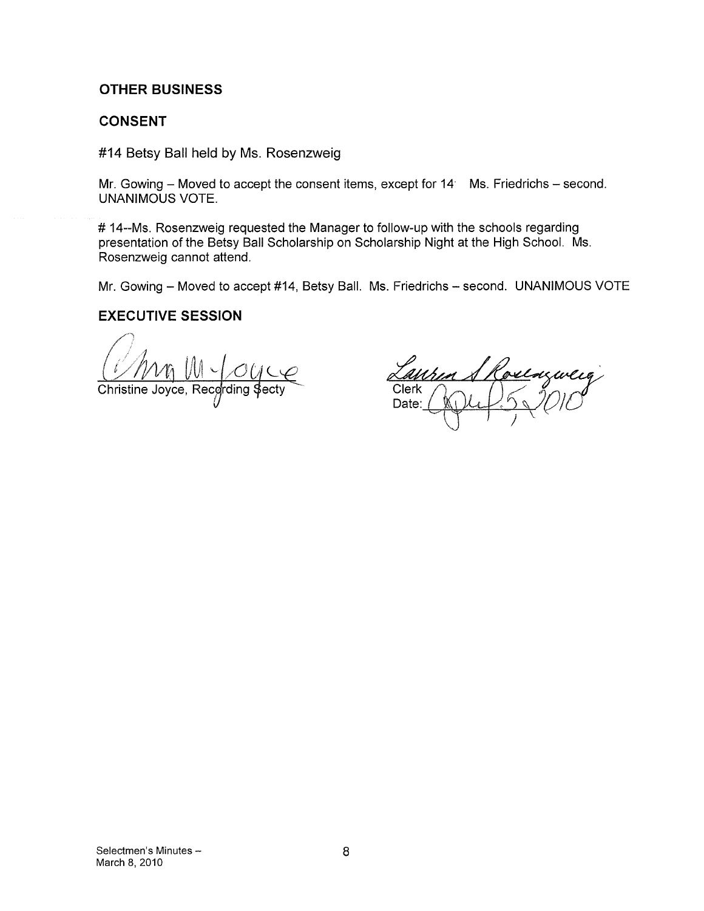## OTHER BUSINESS

## CONSENT

#14 Betsy Ball held by Ms. Rosenzweig

Mr. Gowing  $-$  Moved to accept the consent items, except for 14 Ms. Friedrichs  $-$  second. UNANIMOUS VOTE.

# 14--Ms. Rosenzweig requested the Manager to follow-up with the schools regarding presentation of the Betsy Ball Scholarship on Scholarship Night at the High School. Ms. Rosenzweig cannot attend.

Mr. Gowing — Moved to accept #14, Betsy Ball. Ms. Friedrichs — second. UNANIMOUS VOTE

## EXECUTIVE SESSION

Min UI CUCC

Comedia de la Comedia **Clerk** Date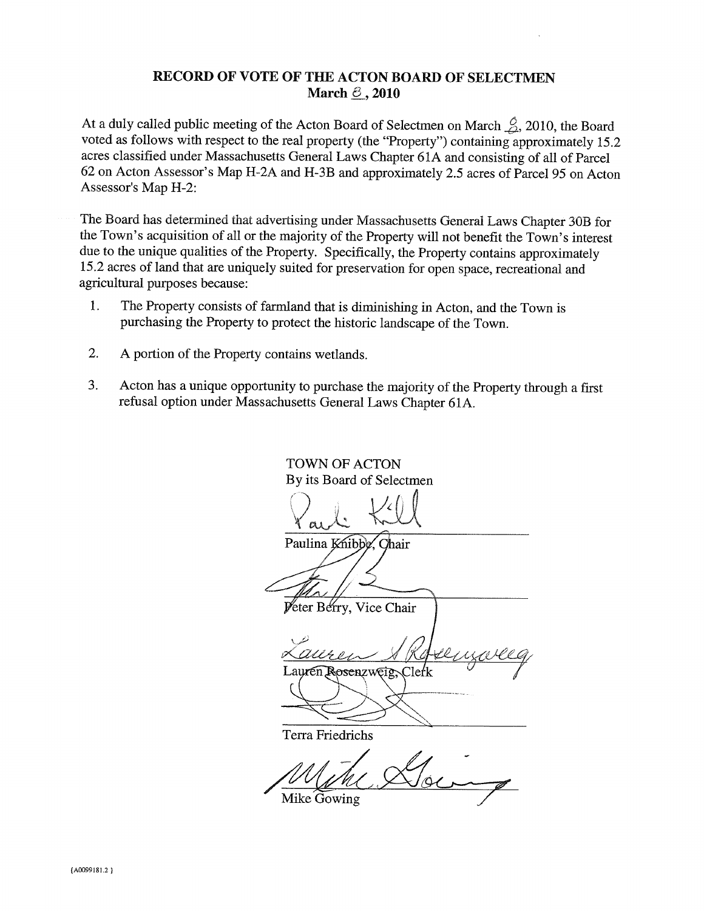### RECORD OF VOTE OF THE ACTON BOARD OF SELECTMEN March  $\leq$ , 2010

At a duly called public meeting of the Acton Board of Selectmen on March  $\frac{\cancel{0}}{\cancel{2}}$ , 2010, the Board voted as follows with respect to the real property (the "Property") containing approximately 15.2 acres classified under Massachusetts General Laws Chapter 6 1A and consisting of all of Parcel 62 on Acton Assessor's Map H-2A and H-3B and approximately 2.5 acres of Parcel 95 on Acton Assessor's Map H-2:

The Board has determined that advertising under Massachusetts General Laws Chapter 30B for the Town's acquisition of all or the majority of the Property will not benefit the Town's interest due to the unique qualities of the Property. Specifically, the Property contains approximately 15.2 acres of land that are uniquely suited for preservation for open space, recreational and agricultural purposes because:

- 1. The Property consists of farmland that is diminishing in Acton, and the Town is purchasing the Property to protect the historic landscape of the Town.
- 2. A portion of the Property contains wetlands.
- 3. Acton has a unique opportunity to purchase the majority of the Property through a first refusal option under Massachusetts General Laws Chapter 61 A.

TOWN OF ACTON By its Board of Selectmen  $\bigg\{$  ar Paulina Knibbe, Chair Peter Berry, Vice Chair  $\overline{Q}$ Lauren Rosenzweig, Clefk Terra Friedrichs

Goi Mike Gowing

(A0099181.2 <sup>I</sup>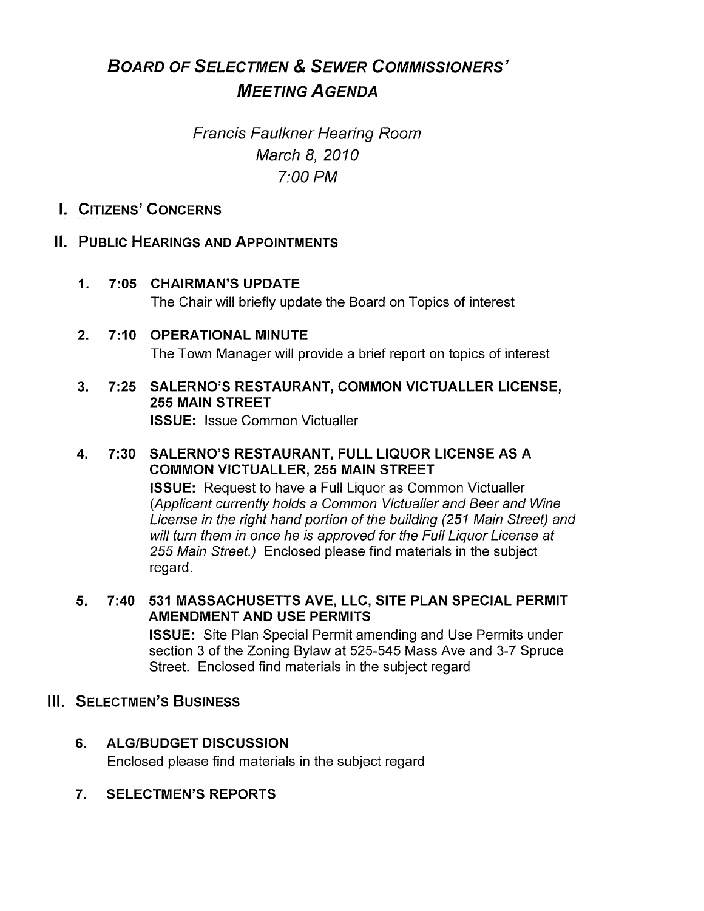# BOARD OF SELECTMEN & SEWER COMMISSIONERS' MEETING AGENDA

# Francis Faulkner Hearing Room March 8, 2010 7:00 PM

# I. CITIZENS' CONCERNS

# II. PUBLIC HEARINGS AND APPOINTMENTS

- 1. 7:05 CHAIRMAN'S UPDATE The Chair will briefly update the Board on Topics of interest
- 2. 7:10 OPERATIONAL MINUTE The Town Manager will provide a brief report on topics of interest
- 3. 7:25 SALERNO'S RESTAURANT, COMMON VICTUALLER LICENSE, 255 MAIN STREET ISSUE: Issue Common Victualler

# 4. 7:30 SALERNO'S RESTAURANT, FULL LIQUOR LICENSE AS A COMMON VICTUALLER, 255 MAIN STREET

ISSUE: Request to have a Full Liquor as Common Victualler (Applicant currently holds a Common Victualler and Beer and Wine License in the right hand portion of the building (251 Main Street) and will turn them in once he is approved for the Full Liquor License at 255 Main Street.) Enclosed please find materials in the subject regard.

- 5. 7:40 531 MASSACHUSETTS AVE, LLC, SITE PLAN SPECIAL PERMIT AMENDMENT AND USE PERMITS ISSUE: Site Plan Special Permit amending and Use Permits under section 3 of the Zoning Bylaw at 525-545 Mass Ave and 3-7 Spruce Street. Enclosed find materials in the subject regard
- **III. SELECTMEN'S BUSINESS** 
	- 6. ALG/BUDGET DISCUSSION Enclosed please find materials in the subject regard
	- 7. SELECTMEN'S REPORTS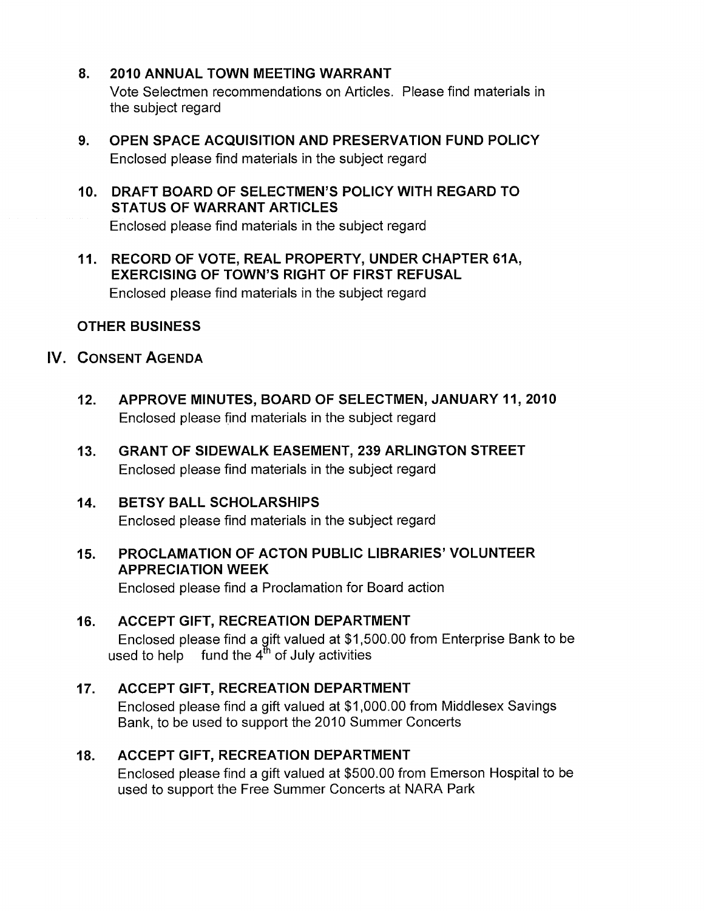- 8. 2010 ANNUAL TOWN MEETING WARRANT Vote Selectmen recommendations on Articles. Please find materials in the subject regard
- 9. OPEN SPACE ACQUISITION AND PRESERVATION FUND POLICY Enclosed please find materials in the subject regard
- 10. DRAFT BOARD OF SELECTMEN'S POLICY WITH REGARD TO STATUS OF WARRANT ARTICLES Enclosed please find materials in the subject regard
- 11. RECORD OF VOTE, REAL PROPERTY, UNDER CHAPTER 61A, EXERCISING OF TOWN'S RIGHT OF FIRST REFUSAL Enclosed please find materials in the subject regard

# OTHER BUSINESS

# IV. CONSENT AGENDA

- 12. APPROVE MINUTES, BOARD OF SELECTMEN, JANUARY 11, 2010 Enclosed please find materials in the subject regard
- 13. GRANT OF SIDEWALK EASEMENT, 239 ARLINGTON STREET Enclosed please find materials in the subject regard

# 14. BETSY BALL SCHOLARSHIPS

Enclosed please find materials in the subject regard

# 15. PROCLAMATION OF ACTON PUBLIC LIBRARIES' VOLUNTEER APPRECIATION WEEK

Enclosed please find a Proclamation for Board action

# 16. ACCEPT GIFT, RECREATION DEPARTMENT Enclosed please find a gift valued at \$1,500.00 from Enterprise Bank to be used to help  $\;\;$  fund the 4 $^{\rm th}$  of July activities

# 17. ACCEPT GIFT, RECREATION DEPARTMENT

Enclosed please find a gift valued at \$1,000.00 from Middlesex Savings Bank, to be used to support the 2010 Summer Concerts

# 18. ACCEPT GIFT, RECREATION DEPARTMENT

Enclosed please find a gift valued at \$500.00 from Emerson Hospital to be used to support the Free Summer Concerts at NARA Park